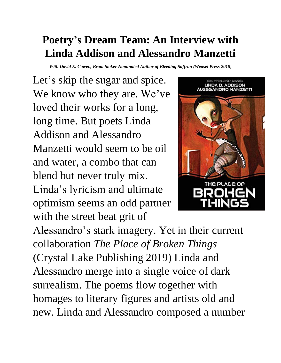## **Poetry's Dream Team: An Interview with Linda Addison and Alessandro Manzetti**

*With David E. Cowen, Bram Stoker Nominated Author of Bleeding Saffron (Weasel Press 2018)*

Let's skip the sugar and spice. We know who they are. We've loved their works for a long, long time. But poets Linda Addison and Alessandro Manzetti would seem to be oil and water, a combo that can blend but never truly mix. Linda's lyricism and ultimate optimism seems an odd partner with the street beat grit of



Alessandro's stark imagery. Yet in their current collaboration *The Place of Broken Things* (Crystal Lake Publishing 2019) Linda and Alessandro merge into a single voice of dark surrealism. The poems flow together with homages to literary figures and artists old and new. Linda and Alessandro composed a number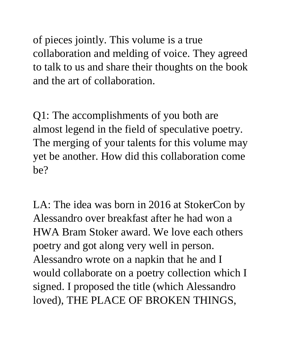of pieces jointly. This volume is a true collaboration and melding of voice. They agreed to talk to us and share their thoughts on the book and the art of collaboration.

Q1: The accomplishments of you both are almost legend in the field of speculative poetry. The merging of your talents for this volume may yet be another. How did this collaboration come be?

LA: The idea was born in 2016 at StokerCon by Alessandro over breakfast after he had won a HWA Bram Stoker award. We love each others poetry and got along very well in person. Alessandro wrote on a napkin that he and I would collaborate on a poetry collection which I signed. I proposed the title (which Alessandro loved), THE PLACE OF BROKEN THINGS,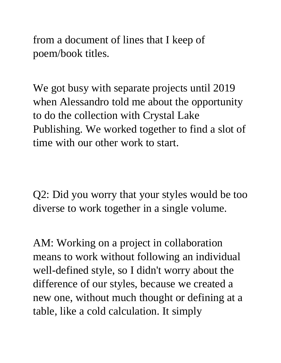from a document of lines that I keep of poem/book titles.

We got busy with separate projects until 2019 when Alessandro told me about the opportunity to do the collection with Crystal Lake Publishing. We worked together to find a slot of time with our other work to start.

Q2: Did you worry that your styles would be too diverse to work together in a single volume.

AM: Working on a project in collaboration means to work without following an individual well-defined style, so I didn't worry about the difference of our styles, because we created a new one, without much thought or defining at a table, like a cold calculation. It simply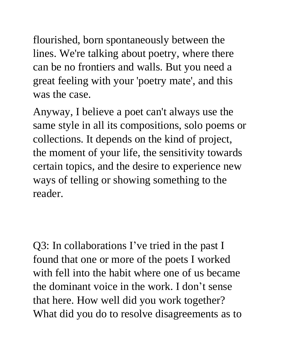flourished, born spontaneously between the lines. We're talking about poetry, where there can be no frontiers and walls. But you need a great feeling with your 'poetry mate', and this was the case.

Anyway, I believe a poet can't always use the same style in all its compositions, solo poems or collections. It depends on the kind of project, the moment of your life, the sensitivity towards certain topics, and the desire to experience new ways of telling or showing something to the reader.

Q3: In collaborations I've tried in the past I found that one or more of the poets I worked with fell into the habit where one of us became the dominant voice in the work. I don't sense that here. How well did you work together? What did you do to resolve disagreements as to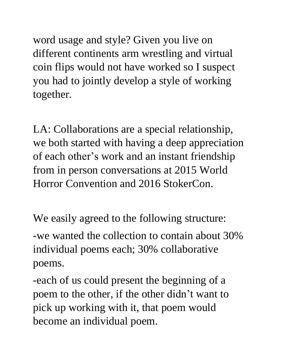word usage and style? Given you live on different continents arm wrestling and virtual coin flips would not have worked so I suspect you had to jointly develop a style of working together.

LA: Collaborations are a special relationship, we both started with having a deep appreciation of each other's work and an instant friendship from in person conversations at 2015 World Horror Convention and 2016 StokerCon.

We easily agreed to the following structure:

-we wanted the collection to contain about 30% individual poems each; 30% collaborative poems.

-each of us could present the beginning of a poem to the other, if the other didn't want to pick up working with it, that poem would become an individual poem.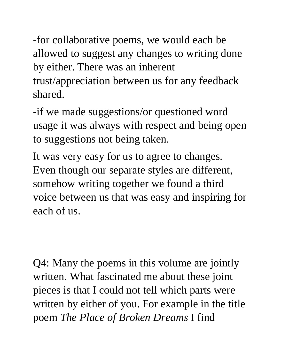-for collaborative poems, we would each be allowed to suggest any changes to writing done by either. There was an inherent trust/appreciation between us for any feedback shared.

-if we made suggestions/or questioned word usage it was always with respect and being open to suggestions not being taken.

It was very easy for us to agree to changes. Even though our separate styles are different, somehow writing together we found a third voice between us that was easy and inspiring for each of us.

Q4: Many the poems in this volume are jointly written. What fascinated me about these joint pieces is that I could not tell which parts were written by either of you. For example in the title poem *The Place of Broken Dreams* I find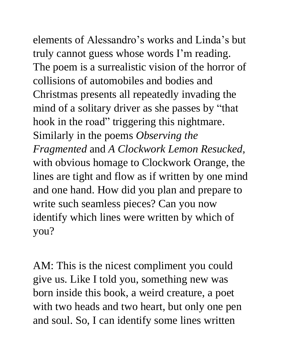elements of Alessandro's works and Linda's but truly cannot guess whose words I'm reading. The poem is a surrealistic vision of the horror of collisions of automobiles and bodies and Christmas presents all repeatedly invading the mind of a solitary driver as she passes by "that hook in the road" triggering this nightmare. Similarly in the poems *Observing the Fragmented* and *A Clockwork Lemon Resucked,* with obvious homage to Clockwork Orange, the lines are tight and flow as if written by one mind and one hand. How did you plan and prepare to write such seamless pieces? Can you now

identify which lines were written by which of you?

AM: This is the nicest compliment you could give us. Like I told you, something new was born inside this book, a weird creature, a poet with two heads and two heart, but only one pen and soul. So, I can identify some lines written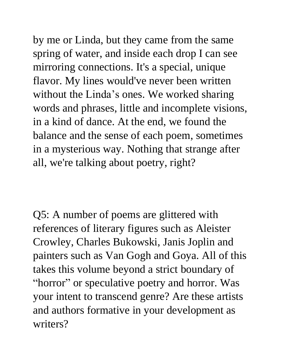by me or Linda, but they came from the same spring of water, and inside each drop I can see mirroring connections. It's a special, unique flavor. My lines would've never been written without the Linda's ones. We worked sharing words and phrases, little and incomplete visions, in a kind of dance. At the end, we found the balance and the sense of each poem, sometimes in a mysterious way. Nothing that strange after all, we're talking about poetry, right?

Q5: A number of poems are glittered with references of literary figures such as Aleister Crowley, Charles Bukowski, Janis Joplin and painters such as Van Gogh and Goya. All of this takes this volume beyond a strict boundary of "horror" or speculative poetry and horror. Was your intent to transcend genre? Are these artists and authors formative in your development as writers?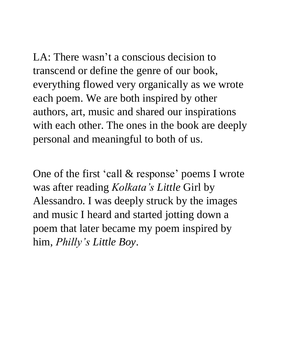LA: There wasn't a conscious decision to transcend or define the genre of our book, everything flowed very organically as we wrote each poem. We are both inspired by other authors, art, music and shared our inspirations with each other. The ones in the book are deeply personal and meaningful to both of us.

One of the first 'call & response' poems I wrote was after reading *Kolkata's Little* Girl by Alessandro. I was deeply struck by the images and music I heard and started jotting down a poem that later became my poem inspired by him, *Philly's Little Boy*.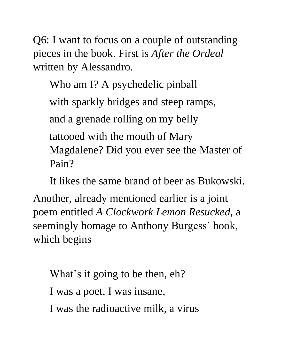Q6: I want to focus on a couple of outstanding pieces in the book. First is *After the Ordeal* written by Alessandro.

Who am I? A psychedelic pinball with sparkly bridges and steep ramps, and a grenade rolling on my belly tattooed with the mouth of Mary Magdalene? Did you ever see the Master of Pain?

It likes the same brand of beer as Bukowski.

Another, already mentioned earlier is a joint poem entitled *A Clockwork Lemon Resucked,* a seemingly homage to Anthony Burgess' book, which begins

What's it going to be then, eh? I was a poet, I was insane, I was the radioactive milk, a virus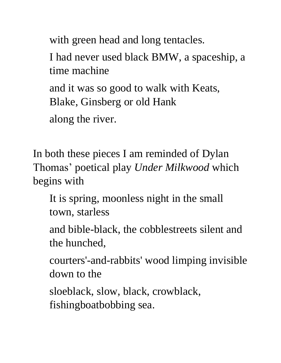with green head and long tentacles.

I had never used black BMW, a spaceship, a time machine

and it was so good to walk with Keats, Blake, Ginsberg or old Hank

along the river.

In both these pieces I am reminded of Dylan Thomas' poetical play *Under Milkwood* which begins with

It is spring, moonless night in the small town, starless

and bible-black, the cobblestreets silent and the hunched,

courters'-and-rabbits' wood limping invisible down to the

sloeblack, slow, black, crowblack, fishingboatbobbing sea.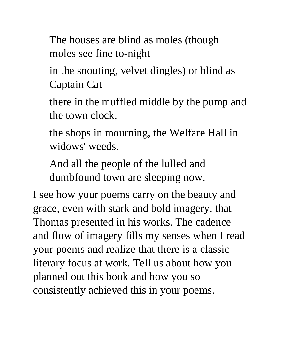The houses are blind as moles (though moles see fine to-night

in the snouting, velvet dingles) or blind as Captain Cat

there in the muffled middle by the pump and the town clock,

the shops in mourning, the Welfare Hall in widows' weeds.

And all the people of the lulled and dumbfound town are sleeping now.

I see how your poems carry on the beauty and grace, even with stark and bold imagery, that Thomas presented in his works. The cadence and flow of imagery fills my senses when I read your poems and realize that there is a classic literary focus at work. Tell us about how you planned out this book and how you so consistently achieved this in your poems.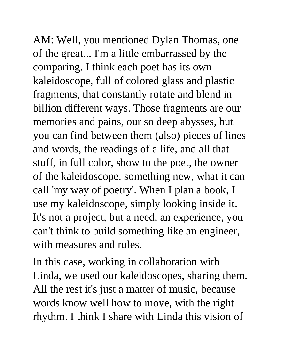AM: Well, you mentioned Dylan Thomas, one of the great... I'm a little embarrassed by the comparing. I think each poet has its own kaleidoscope, full of colored glass and plastic fragments, that constantly rotate and blend in billion different ways. Those fragments are our memories and pains, our so deep abysses, but you can find between them (also) pieces of lines and words, the readings of a life, and all that stuff, in full color, show to the poet, the owner of the kaleidoscope, something new, what it can call 'my way of poetry'. When I plan a book, I use my kaleidoscope, simply looking inside it. It's not a project, but a need, an experience, you can't think to build something like an engineer, with measures and rules.

In this case, working in collaboration with Linda, we used our kaleidoscopes, sharing them. All the rest it's just a matter of music, because words know well how to move, with the right rhythm. I think I share with Linda this vision of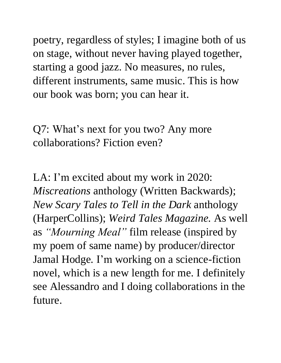poetry, regardless of styles; I imagine both of us on stage, without never having played together, starting a good jazz. No measures, no rules, different instruments, same music. This is how our book was born; you can hear it.

Q7: What's next for you two? Any more collaborations? Fiction even?

LA: I'm excited about my work in 2020: *Miscreations* anthology (Written Backwards); *New Scary Tales to Tell in the Dark* anthology (HarperCollins); *Weird Tales Magazine.* As well as *"Mourning Meal"* film release (inspired by my poem of same name) by producer/director Jamal Hodge*.* I'm working on a science-fiction novel, which is a new length for me. I definitely see Alessandro and I doing collaborations in the future.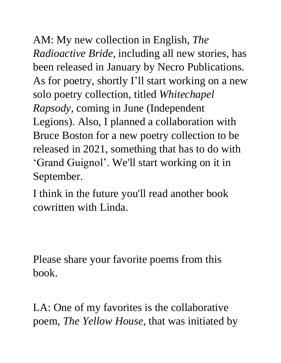AM: My new collection in English, *The Radioactive Bride*, including all new stories, has been released in January by Necro Publications. As for poetry, shortly I'll start working on a new solo poetry collection, titled *Whitechapel Rapsody*, coming in June (Independent Legions). Also, I planned a collaboration with Bruce Boston for a new poetry collection to be released in 2021, something that has to do with 'Grand Guignol'. We'll start working on it in September.

I think in the future you'll read another book cowritten with Linda.

Please share your favorite poems from this book.

LA: One of my favorites is the collaborative poem, *The Yellow House*, that was initiated by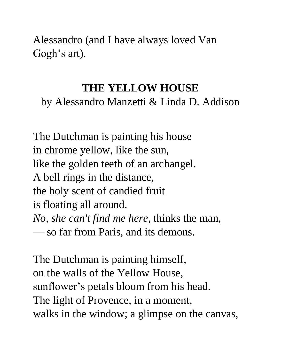Alessandro (and I have always loved Van Gogh's art).

## **THE YELLOW HOUSE**

by Alessandro Manzetti & Linda D. Addison

The Dutchman is painting his house in chrome yellow, like the sun, like the golden teeth of an archangel. A bell rings in the distance, the holy scent of candied fruit is floating all around. *No, she can't find me here*, thinks the man, — so far from Paris, and its demons.

The Dutchman is painting himself, on the walls of the Yellow House, sunflower's petals bloom from his head. The light of Provence, in a moment, walks in the window; a glimpse on the canvas,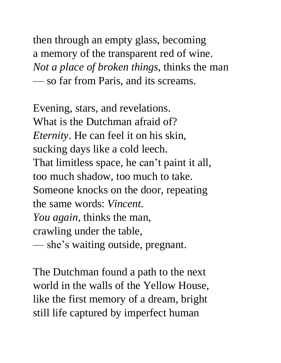then through an empty glass, becoming a memory of the transparent red of wine. *Not a place of broken things*, thinks the man — so far from Paris, and its screams.

Evening, stars, and revelations. What is the Dutchman afraid of? *Eternity*. He can feel it on his skin, sucking days like a cold leech. That limitless space, he can't paint it all, too much shadow, too much to take. Someone knocks on the door, repeating the same words: *Vincent. You again*, thinks the man, crawling under the table, — she's waiting outside, pregnant.

The Dutchman found a path to the next world in the walls of the Yellow House, like the first memory of a dream, bright still life captured by imperfect human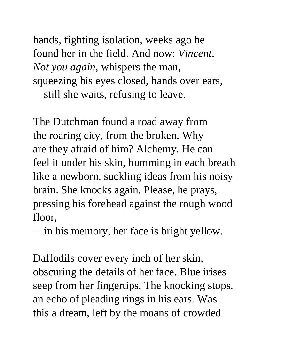hands, fighting isolation, weeks ago he found her in the field. And now: *Vincent*. *Not you again*, whispers the man, squeezing his eyes closed, hands over ears, —still she waits, refusing to leave.

The Dutchman found a road away from the roaring city, from the broken. Why are they afraid of him? Alchemy. He can feel it under his skin, humming in each breath like a newborn, suckling ideas from his noisy brain. She knocks again. Please, he prays, pressing his forehead against the rough wood floor,

—in his memory, her face is bright yellow.

Daffodils cover every inch of her skin, obscuring the details of her face. Blue irises seep from her fingertips. The knocking stops, an echo of pleading rings in his ears. Was this a dream, left by the moans of crowded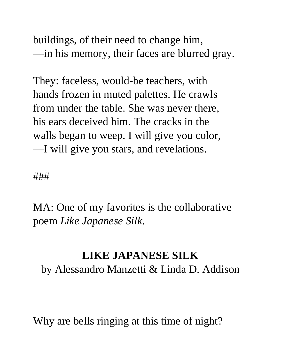buildings, of their need to change him, —in his memory, their faces are blurred gray.

They: faceless, would-be teachers, with hands frozen in muted palettes. He crawls from under the table. She was never there, his ears deceived him. The cracks in the walls began to weep. I will give you color, —I will give you stars, and revelations.

###

MA: One of my favorites is the collaborative poem *Like Japanese Silk*.

## **LIKE JAPANESE SILK**

by Alessandro Manzetti & Linda D. Addison

Why are bells ringing at this time of night?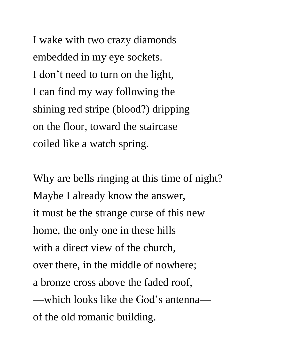I wake with two crazy diamonds embedded in my eye sockets. I don't need to turn on the light, I can find my way following the shining red stripe (blood?) dripping on the floor, toward the staircase coiled like a watch spring.

Why are bells ringing at this time of night? Maybe I already know the answer, it must be the strange curse of this new home, the only one in these hills with a direct view of the church, over there, in the middle of nowhere; a bronze cross above the faded roof, —which looks like the God's antenna of the old romanic building.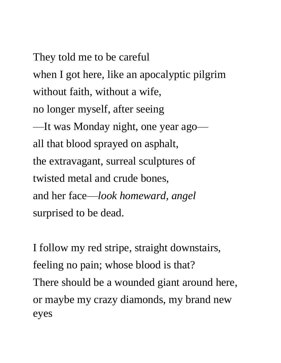They told me to be careful when I got here, like an apocalyptic pilgrim without faith, without a wife, no longer myself, after seeing —It was Monday night, one year ago all that blood sprayed on asphalt, the extravagant, surreal sculptures of twisted metal and crude bones, and her face—*look homeward, angel* surprised to be dead.

I follow my red stripe, straight downstairs, feeling no pain; whose blood is that? There should be a wounded giant around here, or maybe my crazy diamonds, my brand new eyes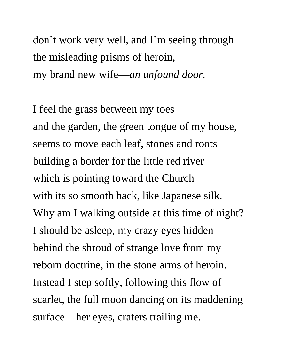don't work very well, and I'm seeing through the misleading prisms of heroin, my brand new wife—*an unfound door.*

I feel the grass between my toes and the garden, the green tongue of my house, seems to move each leaf, stones and roots building a border for the little red river which is pointing toward the Church with its so smooth back, like Japanese silk. Why am I walking outside at this time of night? I should be asleep, my crazy eyes hidden behind the shroud of strange love from my reborn doctrine, in the stone arms of heroin. Instead I step softly, following this flow of scarlet, the full moon dancing on its maddening surface—her eyes, craters trailing me.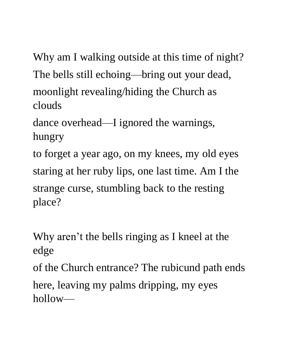Why am I walking outside at this time of night? The bells still echoing—bring out your dead, moonlight revealing/hiding the Church as clouds

dance overhead—I ignored the warnings, hungry

to forget a year ago, on my knees, my old eyes staring at her ruby lips, one last time. Am I the strange curse, stumbling back to the resting place?

Why aren't the bells ringing as I kneel at the edge

of the Church entrance? The rubicund path ends

here, leaving my palms dripping, my eyes hollow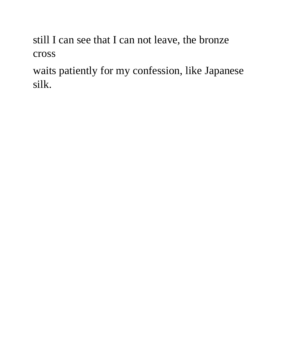still I can see that I can not leave, the bronze cross

waits patiently for my confession, like Japanese silk.